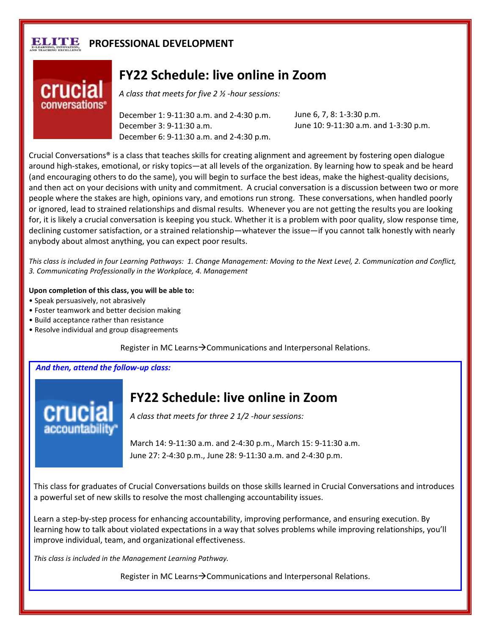## ните **PROFESSIONAL DEVELOPMENT**



## **FY22 Schedule: live online in Zoom**

*A class that meets for five 2 ½ -hour sessions:*

December 1: 9-11:30 a.m. and 2-4:30 p.m. December 3: 9-11:30 a.m. December 6: 9-11:30 a.m. and 2-4:30 p.m. June 6, 7, 8: 1-3:30 p.m. June 10: 9-11:30 a.m. and 1-3:30 p.m.

Crucial Conversations® is a class that teaches skills for creating alignment and agreement by fostering open dialogue around high-stakes, emotional, or risky topics—at all levels of the organization. By learning how to speak and be heard (and encouraging others to do the same), you will begin to surface the best ideas, make the highest-quality decisions, and then act on your decisions with unity and commitment. A crucial conversation is a discussion between two or more people where the stakes are high, opinions vary, and emotions run strong. These conversations, when handled poorly or ignored, lead to strained relationships and dismal results. Whenever you are not getting the results you are looking for, it is likely a crucial conversation is keeping you stuck. Whether it is a problem with poor quality, slow response time, declining customer satisfaction, or a strained relationship—whatever the issue—if you cannot talk honestly with nearly anybody about almost anything, you can expect poor results.

*This class is included in four Learning Pathways: 1. Change Management: Moving to the Next Level, 2. Communication and Conflict, 3. Communicating Professionally in the Workplace, 4. Management*

**Upon completion of this class, you will be able to:**

- Speak persuasively, not abrasively
- Foster teamwork and better decision making
- Build acceptance rather than resistance
- Resolve individual and group disagreements

Register in MC Learns $\rightarrow$ Communications and Interpersonal Relations.

*And then, attend the follow-up class:*



## **FY22 Schedule: live online in Zoom**

*A class that meets for three 2 1/2 -hour sessions:*

March 14: 9-11:30 a.m. and 2-4:30 p.m., March 15: 9-11:30 a.m. June 27: 2-4:30 p.m., June 28: 9-11:30 a.m. and 2-4:30 p.m.

This class for graduates of Crucial Conversations builds on those skills learned in Crucial Conversations and introduces a powerful set of new skills to resolve the most challenging accountability issues.

Learn a step-by-step process for enhancing accountability, improving performance, and ensuring execution. By learning how to talk about violated expectations in a way that solves problems while improving relationships, you'll improve individual, team, and organizational effectiveness.

*This class is included in the Management Learning Pathway.*

Register in MC Learns $\rightarrow$  Communications and Interpersonal Relations.